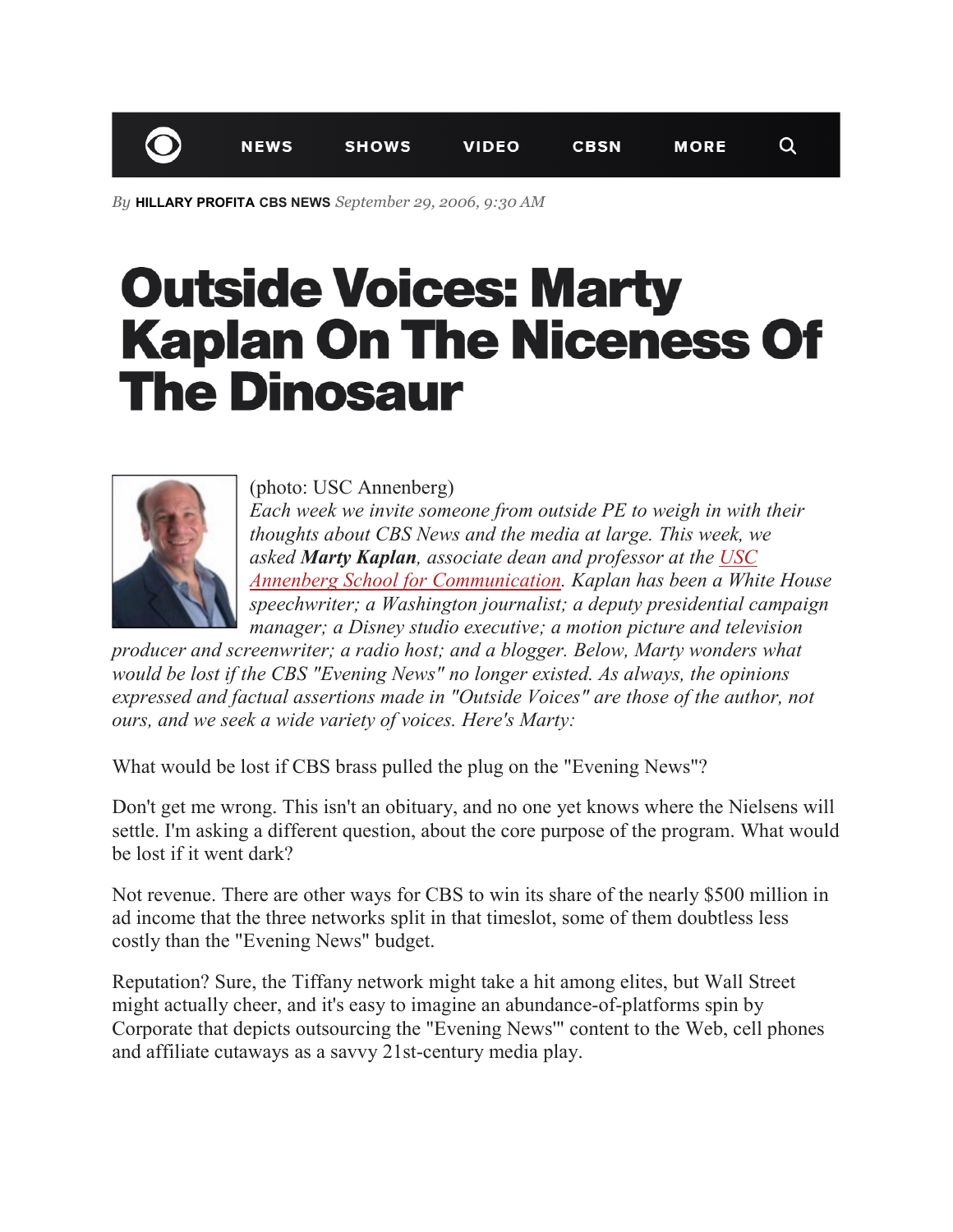*By* **HILLARY PROFITA CBS NEWS** *September 29, 2006, 9:30 AM*

## **Outside Voices: Marty Kaplan On The Niceness Of The Dinosaur**



(photo: USC Annenberg) *Each week we invite someone from outside PE to weigh in with their thoughts about CBS News and the media at large. This week, we asked Marty Kaplan, associate dean and professor at the [USC](http://ascweb.usc.edu/home.php)  [Annenberg School for Communication.](http://ascweb.usc.edu/home.php) Kaplan has been a White House speechwriter; a Washington journalist; a deputy presidential campaign manager; a Disney studio executive; a motion picture and television* 

*producer and screenwriter; a radio host; and a blogger. Below, Marty wonders what would be lost if the CBS "Evening News" no longer existed. As always, the opinions expressed and factual assertions made in "Outside Voices" are those of the author, not ours, and we seek a wide variety of voices. Here's Marty:*

What would be lost if CBS brass pulled the plug on the "Evening News"?

Don't get me wrong. This isn't an obituary, and no one yet knows where the Nielsens will settle. I'm asking a different question, about the core purpose of the program. What would be lost if it went dark?

Not revenue. There are other ways for CBS to win its share of the nearly \$500 million in ad income that the three networks split in that timeslot, some of them doubtless less costly than the "Evening News" budget.

Reputation? Sure, the Tiffany network might take a hit among elites, but Wall Street might actually cheer, and it's easy to imagine an abundance-of-platforms spin by Corporate that depicts outsourcing the "Evening News'" content to the Web, cell phones and affiliate cutaways as a savvy 21st-century media play.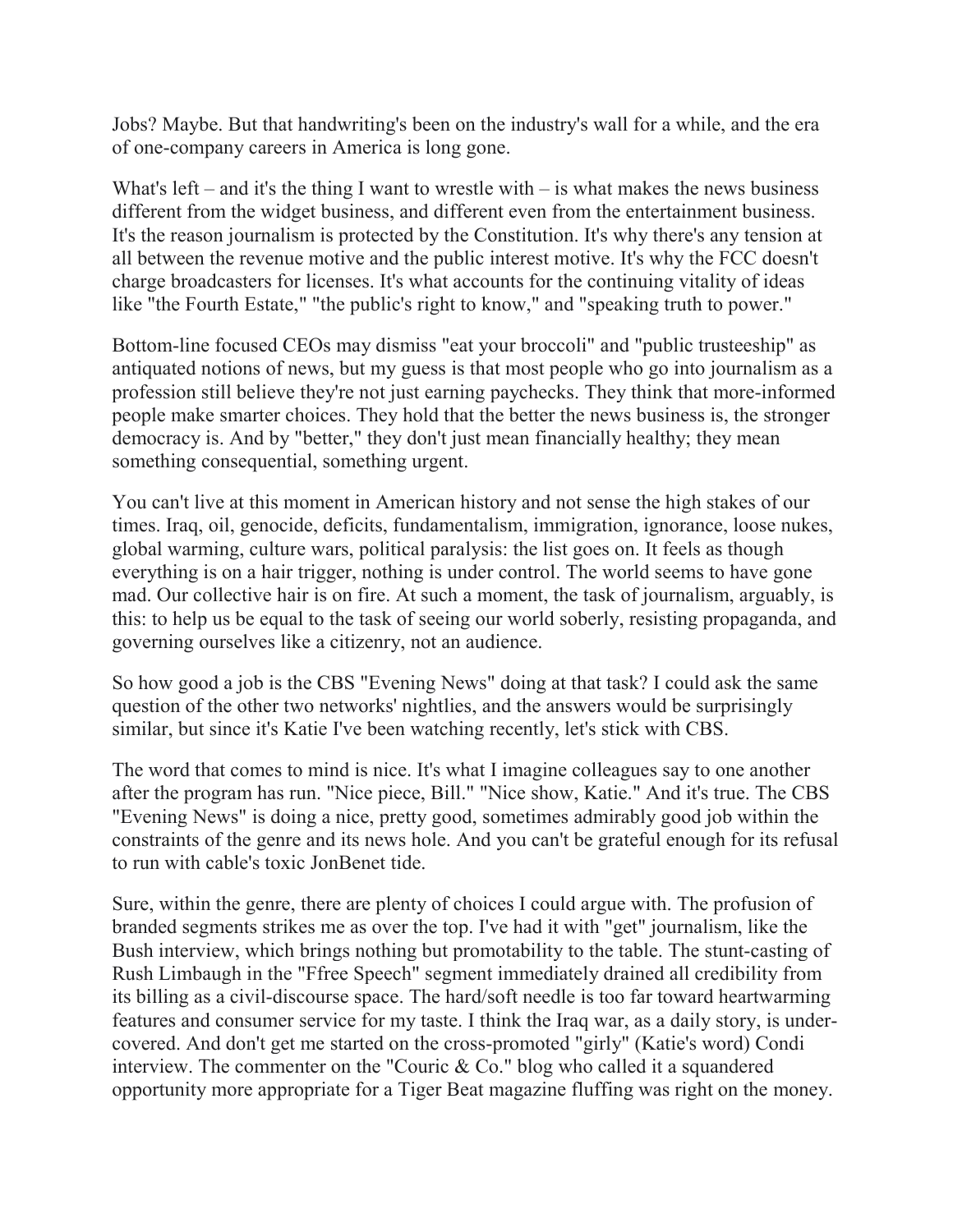Jobs? Maybe. But that handwriting's been on the industry's wall for a while, and the era of one-company careers in America is long gone.

What's left – and it's the thing I want to wrestle with – is what makes the news business different from the widget business, and different even from the entertainment business. It's the reason journalism is protected by the Constitution. It's why there's any tension at all between the revenue motive and the public interest motive. It's why the FCC doesn't charge broadcasters for licenses. It's what accounts for the continuing vitality of ideas like "the Fourth Estate," "the public's right to know," and "speaking truth to power."

Bottom-line focused CEOs may dismiss "eat your broccoli" and "public trusteeship" as antiquated notions of news, but my guess is that most people who go into journalism as a profession still believe they're not just earning paychecks. They think that more-informed people make smarter choices. They hold that the better the news business is, the stronger democracy is. And by "better," they don't just mean financially healthy; they mean something consequential, something urgent.

You can't live at this moment in American history and not sense the high stakes of our times. Iraq, oil, genocide, deficits, fundamentalism, immigration, ignorance, loose nukes, global warming, culture wars, political paralysis: the list goes on. It feels as though everything is on a hair trigger, nothing is under control. The world seems to have gone mad. Our collective hair is on fire. At such a moment, the task of journalism, arguably, is this: to help us be equal to the task of seeing our world soberly, resisting propaganda, and governing ourselves like a citizenry, not an audience.

So how good a job is the CBS "Evening News" doing at that task? I could ask the same question of the other two networks' nightlies, and the answers would be surprisingly similar, but since it's Katie I've been watching recently, let's stick with CBS.

The word that comes to mind is nice. It's what I imagine colleagues say to one another after the program has run. "Nice piece, Bill." "Nice show, Katie." And it's true. The CBS "Evening News" is doing a nice, pretty good, sometimes admirably good job within the constraints of the genre and its news hole. And you can't be grateful enough for its refusal to run with cable's toxic JonBenet tide.

Sure, within the genre, there are plenty of choices I could argue with. The profusion of branded segments strikes me as over the top. I've had it with "get" journalism, like the Bush interview, which brings nothing but promotability to the table. The stunt-casting of Rush Limbaugh in the "Ffree Speech" segment immediately drained all credibility from its billing as a civil-discourse space. The hard/soft needle is too far toward heartwarming features and consumer service for my taste. I think the Iraq war, as a daily story, is undercovered. And don't get me started on the cross-promoted "girly" (Katie's word) Condi interview. The commenter on the "Couric & Co." blog who called it a squandered opportunity more appropriate for a Tiger Beat magazine fluffing was right on the money.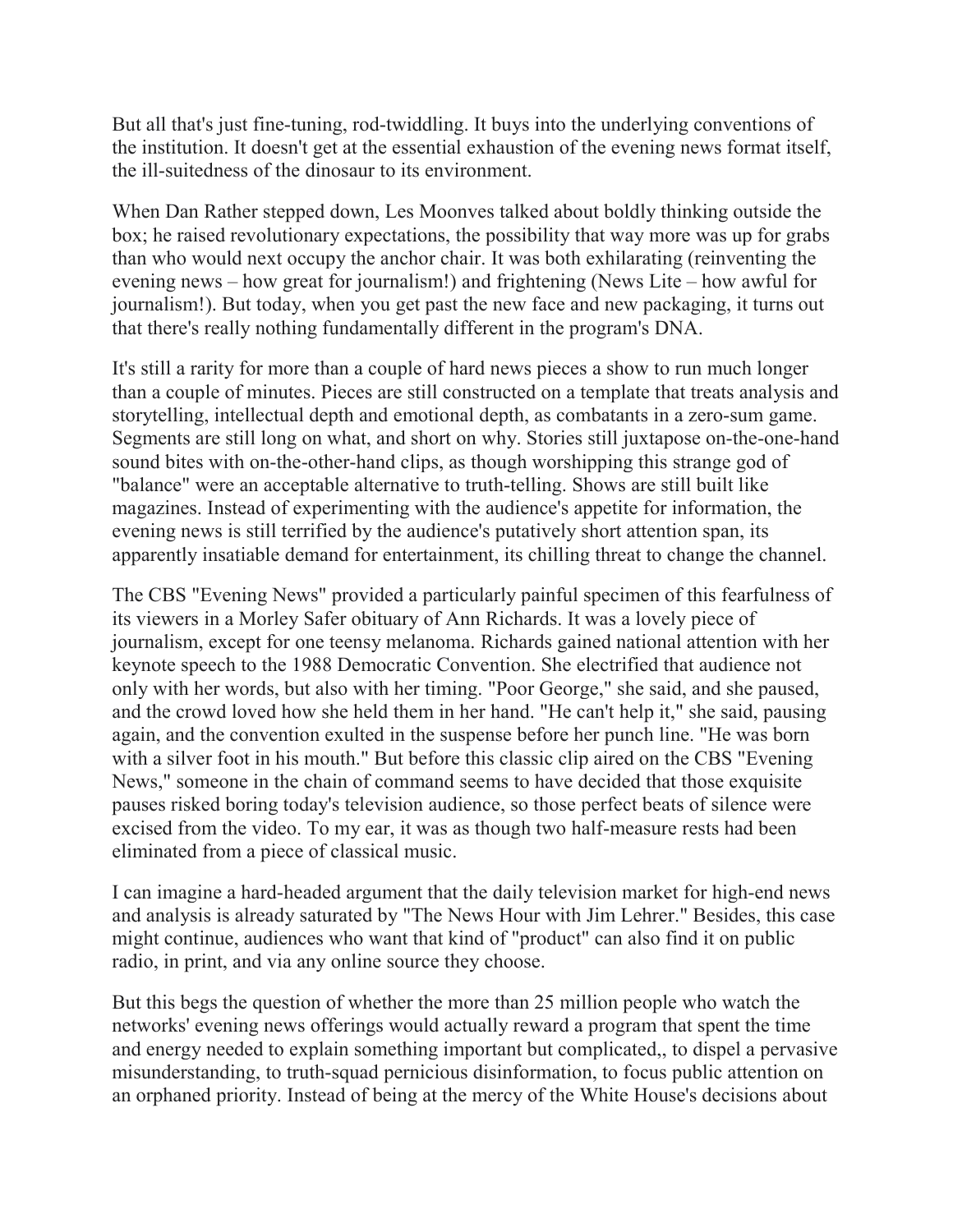But all that's just fine-tuning, rod-twiddling. It buys into the underlying conventions of the institution. It doesn't get at the essential exhaustion of the evening news format itself, the ill-suitedness of the dinosaur to its environment.

When Dan Rather stepped down, Les Moonves talked about boldly thinking outside the box; he raised revolutionary expectations, the possibility that way more was up for grabs than who would next occupy the anchor chair. It was both exhilarating (reinventing the evening news – how great for journalism!) and frightening (News Lite – how awful for journalism!). But today, when you get past the new face and new packaging, it turns out that there's really nothing fundamentally different in the program's DNA.

It's still a rarity for more than a couple of hard news pieces a show to run much longer than a couple of minutes. Pieces are still constructed on a template that treats analysis and storytelling, intellectual depth and emotional depth, as combatants in a zero-sum game. Segments are still long on what, and short on why. Stories still juxtapose on-the-one-hand sound bites with on-the-other-hand clips, as though worshipping this strange god of "balance" were an acceptable alternative to truth-telling. Shows are still built like magazines. Instead of experimenting with the audience's appetite for information, the evening news is still terrified by the audience's putatively short attention span, its apparently insatiable demand for entertainment, its chilling threat to change the channel.

The CBS "Evening News" provided a particularly painful specimen of this fearfulness of its viewers in a Morley Safer obituary of Ann Richards. It was a lovely piece of journalism, except for one teensy melanoma. Richards gained national attention with her keynote speech to the 1988 Democratic Convention. She electrified that audience not only with her words, but also with her timing. "Poor George," she said, and she paused, and the crowd loved how she held them in her hand. "He can't help it," she said, pausing again, and the convention exulted in the suspense before her punch line. "He was born with a silver foot in his mouth." But before this classic clip aired on the CBS "Evening News," someone in the chain of command seems to have decided that those exquisite pauses risked boring today's television audience, so those perfect beats of silence were excised from the video. To my ear, it was as though two half-measure rests had been eliminated from a piece of classical music.

I can imagine a hard-headed argument that the daily television market for high-end news and analysis is already saturated by "The News Hour with Jim Lehrer." Besides, this case might continue, audiences who want that kind of "product" can also find it on public radio, in print, and via any online source they choose.

But this begs the question of whether the more than 25 million people who watch the networks' evening news offerings would actually reward a program that spent the time and energy needed to explain something important but complicated,, to dispel a pervasive misunderstanding, to truth-squad pernicious disinformation, to focus public attention on an orphaned priority. Instead of being at the mercy of the White House's decisions about